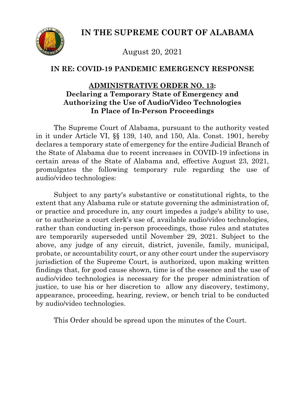**IN THE SUPREME COURT OF ALABAMA**



August 20, 2021

## **IN RE: COVID-19 PANDEMIC EMERGENCY RESPONSE**

## **ADMINISTRATIVE ORDER NO. 13: Declaring a Temporary State of Emergency and Authorizing the Use of Audio/Video Technologies In Place of In-Person Proceedings**

The Supreme Court of Alabama, pursuant to the authority vested in it under Article VI, §§ 139, 140, and 150, Ala. Const. 1901, hereby declares a temporary state of emergency for the entire Judicial Branch of the State of Alabama due to recent increases in COVID-19 infections in certain areas of the State of Alabama and, effective August 23, 2021, promulgates the following temporary rule regarding the use of audio/video technologies:

Subject to any party's substantive or constitutional rights, to the extent that any Alabama rule or statute governing the administration of, or practice and procedure in, any court impedes a judge's ability to use, or to authorize a court clerk's use of, available audio/video technologies, rather than conducting in-person proceedings, those rules and statutes are temporarily superseded until November 29, 2021. Subject to the above, any judge of any circuit, district, juvenile, family, municipal, probate, or accountability court, or any other court under the supervisory jurisdiction of the Supreme Court, is authorized, upon making written findings that, for good cause shown, time is of the essence and the use of audio/video technologies is necessary for the proper administration of justice, to use his or her discretion to allow any discovery, testimony, appearance, proceeding, hearing, review, or bench trial to be conducted by audio/video technologies.

This Order should be spread upon the minutes of the Court.